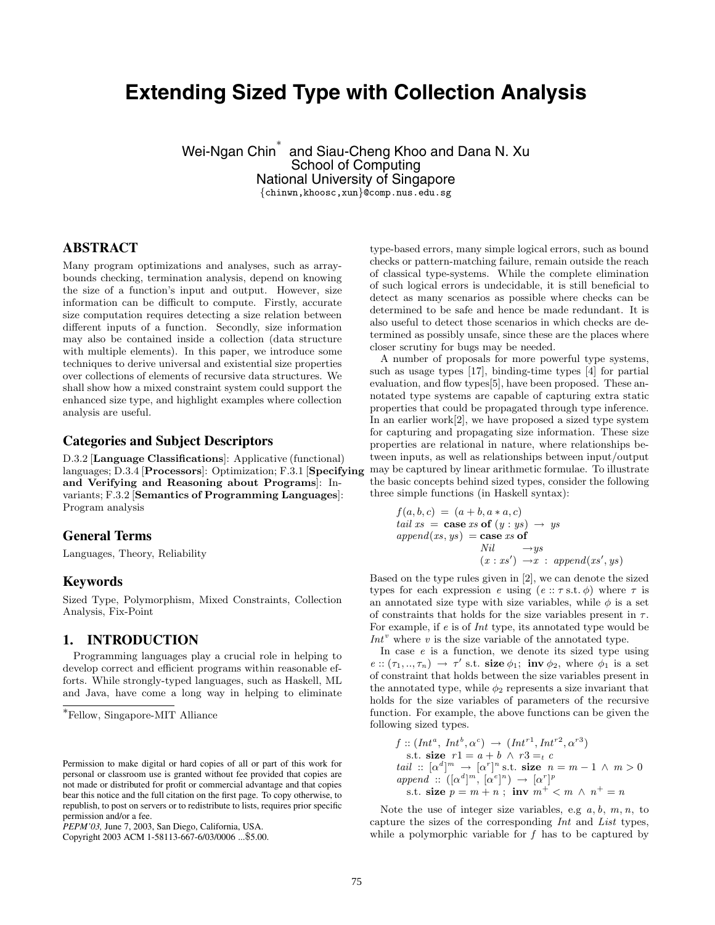# **Extending Sized Type with Collection Analysis**

Wei-Ngan Chin<sup>∗</sup> and Siau-Cheng Khoo and Dana N. Xu School of Computing National University of Singapore

{chinwn,khoosc,xun}@comp.nus.edu.sg

# **ABSTRACT**

Many program optimizations and analyses, such as arraybounds checking, termination analysis, depend on knowing the size of a function's input and output. However, size information can be difficult to compute. Firstly, accurate size computation requires detecting a size relation between different inputs of a function. Secondly, size information may also be contained inside a collection (data structure with multiple elements). In this paper, we introduce some techniques to derive universal and existential size properties over collections of elements of recursive data structures. We shall show how a mixed constraint system could support the enhanced size type, and highlight examples where collection analysis are useful.

# **Categories and Subject Descriptors**

D.3.2 [**Language Classifications**]: Applicative (functional) languages; D.3.4 [**Processors**]: Optimization; F.3.1 [**Specifying and Verifying and Reasoning about Programs**]: Invariants; F.3.2 [**Semantics of Programming Languages**]: Program analysis

# **General Terms**

Languages, Theory, Reliability

#### **Keywords**

Sized Type, Polymorphism, Mixed Constraints, Collection Analysis, Fix-Point

## **1. INTRODUCTION**

Programming languages play a crucial role in helping to develop correct and efficient programs within reasonable efforts. While strongly-typed languages, such as Haskell, ML and Java, have come a long way in helping to eliminate

Copyright 2003 ACM 1-58113-667-6/03/0006 ...\$5.00.

type-based errors, many simple logical errors, such as bound checks or pattern-matching failure, remain outside the reach of classical type-systems. While the complete elimination of such logical errors is undecidable, it is still beneficial to detect as many scenarios as possible where checks can be determined to be safe and hence be made redundant. It is also useful to detect those scenarios in which checks are determined as possibly unsafe, since these are the places where closer scrutiny for bugs may be needed.

A number of proposals for more powerful type systems, such as usage types [17], binding-time types [4] for partial evaluation, and flow types[5], have been proposed. These annotated type systems are capable of capturing extra static properties that could be propagated through type inference. In an earlier work[2], we have proposed a sized type system for capturing and propagating size information. These size properties are relational in nature, where relationships between inputs, as well as relationships between input/output may be captured by linear arithmetic formulae. To illustrate the basic concepts behind sized types, consider the following three simple functions (in Haskell syntax):

$$
f(a, b, c) = (a + b, a * a, c)
$$
  
tail xs = case xs of (y : ys)  $\rightarrow$  ys  
append(xs, ys) = case xs of  
Nil  $\rightarrow$  ys  
(x : xs')  $\rightarrow$  x : append(xs', ys)

Based on the type rules given in [2], we can denote the sized types for each expression e using  $(e:: \tau s.t. \phi)$  where  $\tau$  is an annotated size type with size variables, while  $\phi$  is a set of constraints that holds for the size variables present in  $\tau$ . For example, if e is of Int type, its annotated type would be  $Int<sup>v</sup>$  where  $v$  is the size variable of the annotated type.

In case  $e$  is a function, we denote its sized type using  $e: (\tau_1, ..., \tau_n) \rightarrow \tau'$  s.t. **size**  $\phi_1$ ; **inv**  $\phi_2$ , where  $\phi_1$  is a set of constraint that holds between the size variables present in the annotated type, while  $\phi_2$  represents a size invariant that holds for the size variables of parameters of the recursive function. For example, the above functions can be given the following sized types.

$$
f :: (Int^a, Int^b, \alpha^c) \rightarrow (Int^{r1}, Int^{r2}, \alpha^{r3})
$$
  
s.t. **size**  $r1 = a + b \land r3 =_t c$   
*tail* ::  $[\alpha^d]^m \rightarrow [\alpha^r]^n$  s.t. **size**  $n = m - 1 \land m > 0$   
*append* ::  $([\alpha^d]^m, [\alpha^e]^n) \rightarrow [\alpha^r]^p$   
s.t. **size**  $p = m + n$ ; **inv**  $m^+ < m \land n^+ = n$ 

Note the use of integer size variables, e.g  $a, b, m, n$ , to capture the sizes of the corresponding Int and List types, while a polymorphic variable for  $f$  has to be captured by

<sup>∗</sup>Fellow, Singapore-MIT Alliance

Permission to make digital or hard copies of all or part of this work for personal or classroom use is granted without fee provided that copies are not made or distributed for profit or commercial advantage and that copies bear this notice and the full citation on the first page. To copy otherwise, to republish, to post on servers or to redistribute to lists, requires prior specific permission and/or a fee.

*PEPM'03,* June 7, 2003, San Diego, California, USA.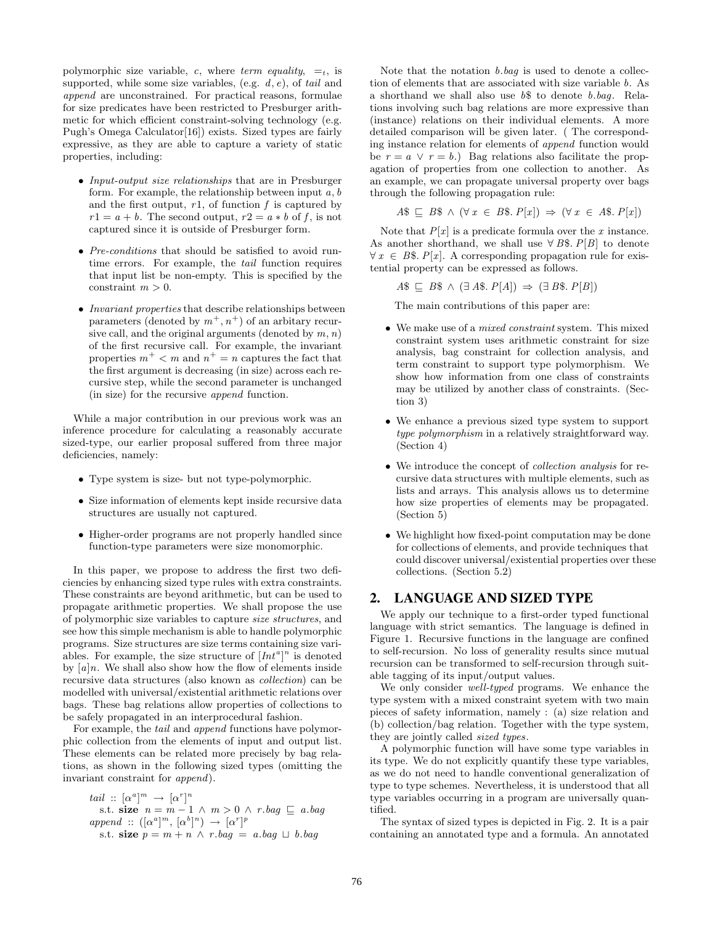polymorphic size variable, c, where term equality,  $=$ <sub>t</sub>, is supported, while some size variables, (e.g.  $d, e$ ), of tail and append are unconstrained. For practical reasons, formulae for size predicates have been restricted to Presburger arithmetic for which efficient constraint-solving technology (e.g. Pugh's Omega Calculator[16]) exists. Sized types are fairly expressive, as they are able to capture a variety of static properties, including:

- Input-output size relationships that are in Presburger form. For example, the relationship between input  $a, b$ and the first output,  $r1$ , of function  $f$  is captured by  $r1 = a + b$ . The second output,  $r2 = a * b$  of f, is not captured since it is outside of Presburger form.
- Pre-conditions that should be satisfied to avoid runtime errors. For example, the tail function requires that input list be non-empty. This is specified by the constraint  $m > 0$ .
- Invariant properties that describe relationships between parameters (denoted by  $m^+, n^+$ ) of an arbitary recursive call, and the original arguments (denoted by  $m, n$ ) of the first recursive call. For example, the invariant properties  $m^+ < m$  and  $n^+ = n$  captures the fact that the first argument is decreasing (in size) across each recursive step, while the second parameter is unchanged (in size) for the recursive append function.

While a major contribution in our previous work was an inference procedure for calculating a reasonably accurate sized-type, our earlier proposal suffered from three major deficiencies, namely:

- Type system is size- but not type-polymorphic.
- Size information of elements kept inside recursive data structures are usually not captured.
- Higher-order programs are not properly handled since function-type parameters were size monomorphic.

In this paper, we propose to address the first two deficiencies by enhancing sized type rules with extra constraints. These constraints are beyond arithmetic, but can be used to propagate arithmetic properties. We shall propose the use of polymorphic size variables to capture size structures, and see how this simple mechanism is able to handle polymorphic programs. Size structures are size terms containing size variables. For example, the size structure of  $[Int^a]^n$  is denoted by  $[a]n$ . We shall also show how the flow of elements inside recursive data structures (also known as collection) can be modelled with universal/existential arithmetic relations over bags. These bag relations allow properties of collections to be safely propagated in an interprocedural fashion.

For example, the tail and append functions have polymorphic collection from the elements of input and output list. These elements can be related more precisely by bag relations, as shown in the following sized types (omitting the invariant constraint for append).

tail :: 
$$
[\alpha^a]^m \rightarrow [\alpha^r]^n
$$
  
s.t. **size**  $n = m - 1 \land m > 0 \land r$ .bag  $\sqsubseteq$  a.bag  
append ::  $([\alpha^a]^m, [\alpha^b]^n) \rightarrow [\alpha^r]^p$   
s.t. **size**  $p = m + n \land r$ .bag = a.bag  $\sqcup$  b.bag

Note that the notation  $b \cdot baq$  is used to denote a collection of elements that are associated with size variable b. As a shorthand we shall also use  $b$ \$ to denote b.bag. Relations involving such bag relations are more expressive than (instance) relations on their individual elements. A more detailed comparison will be given later. ( The corresponding instance relation for elements of append function would be  $r = a \lor r = b$ .) Bag relations also facilitate the propagation of properties from one collection to another. As an example, we can propagate universal property over bags through the following propagation rule:

$$
A\$\subseteq B\$\land (\forall x\in B\$\text{. }P[x]) \Rightarrow (\forall x\in A\$\text{. }P[x])
$$

Note that  $P[x]$  is a predicate formula over the x instance. As another shorthand, we shall use  $\forall B\$  P[B] to denote  $\forall x \in B\$ . P[x]. A corresponding propagation rule for existential property can be expressed as follows.

 $A\$   $\subseteq$   $B\$   $\land$   $(\exists A\$   $\in$   $P[A]) \Rightarrow$   $(\exists B\$   $\in$   $P[B])$ 

The main contributions of this paper are:

- We make use of a *mixed constraint* system. This mixed constraint system uses arithmetic constraint for size analysis, bag constraint for collection analysis, and term constraint to support type polymorphism. We show how information from one class of constraints may be utilized by another class of constraints. (Section 3)
- We enhance a previous sized type system to support type polymorphism in a relatively straightforward way. (Section 4)
- We introduce the concept of collection analysis for recursive data structures with multiple elements, such as lists and arrays. This analysis allows us to determine how size properties of elements may be propagated. (Section 5)
- We highlight how fixed-point computation may be done for collections of elements, and provide techniques that could discover universal/existential properties over these collections. (Section 5.2)

# **2. LANGUAGE AND SIZED TYPE**

We apply our technique to a first-order typed functional language with strict semantics. The language is defined in Figure 1. Recursive functions in the language are confined to self-recursion. No loss of generality results since mutual recursion can be transformed to self-recursion through suitable tagging of its input/output values.

We only consider well-typed programs. We enhance the type system with a mixed constraint syetem with two main pieces of safety information, namely : (a) size relation and (b) collection/bag relation. Together with the type system, they are jointly called sized types.

A polymorphic function will have some type variables in its type. We do not explicitly quantify these type variables, as we do not need to handle conventional generalization of type to type schemes. Nevertheless, it is understood that all type variables occurring in a program are universally quantified.

The syntax of sized types is depicted in Fig. 2. It is a pair containing an annotated type and a formula. An annotated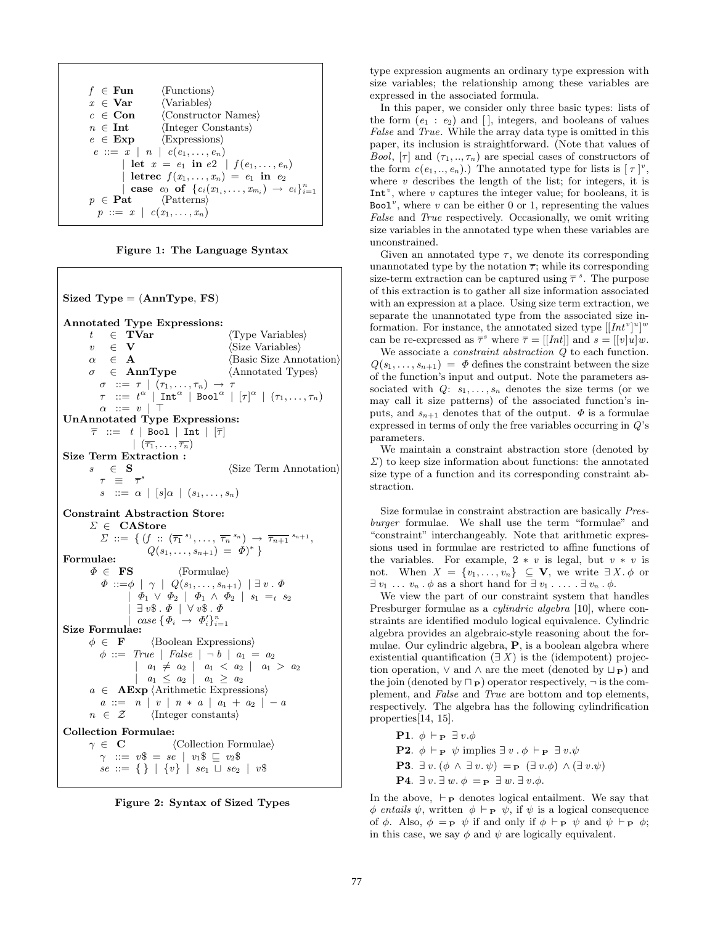$$
f \in \mathbf{Fun} \qquad \langle\text{Functions}\rangle
$$
\n
$$
x \in \mathbf{Var} \qquad \langle\text{Variables}\rangle
$$
\n
$$
c \in \mathbf{Con} \qquad \langle\text{Constructor Names}\rangle
$$
\n
$$
n \in \mathbf{Int} \qquad \langle\text{Integer Constants}\rangle
$$
\n
$$
e \in \mathbf{Exp} \qquad \langle\text{Expressions}\rangle
$$
\n
$$
e ::= x \mid n \mid c(e_1, \ldots, e_n)
$$
\n
$$
|\text{let } x = e_1 \text{ in } e_2 \mid f(e_1, \ldots, e_n)
$$
\n
$$
|\text{let } x = e_1 \text{ in } e_2 \mid f(e_1, \ldots, e_n)
$$
\n
$$
|\text{let } x = e_1 \text{ in } e_2 \mid f(e_1, \ldots, e_n) \in \mathbf{Set}
$$
\n
$$
\text{case } e_0 \text{ of } \{c_i(x_{1_i}, \ldots, x_{m_i}) \to e_i\}_{i=1}^n
$$
\n
$$
p \in \mathbf{Pat} \qquad \langle\text{Patterns}\rangle
$$
\n
$$
p ::= x \mid c(x_1, \ldots, x_n)
$$



**Sized Type** = (**AnnType**, **FS**) **Annotated Type Expressions:** t ∈ **TVar**  $\langle$  Type Variables $\rangle$  ∈ **V**  $\langle$  Size Variables $\rangle$  $v \in \mathbf{V}$   $\langle$  Size Variables $\rangle$  $\alpha \in \mathbf{A}$  (Basic Size Annotation)<br>  $\sigma \in \textbf{AnnType}$  (Annotated Types)  $\sigma \in \textbf{AnnType}$  (Annotated Types)  $\sigma$  ::=  $\tau$  |  $(\tau_1,\ldots,\tau_n) \rightarrow \tau$  $\tau$  ::=  $t^{\alpha}$  | Int<sup> $\alpha$ </sup> | Bool<sup> $\alpha$ </sup> |  $[\tau]^{\alpha}$  |  $(\tau_1,\ldots,\tau_n)$  $\alpha$  ::=  $v$  | T **UnAnnotated Type Expressions:**  $\overline{\tau}$  ::= t | Bool | Int |  $|\overline{\tau}|$  $|\ (\overline{\tau_1},\ldots,\overline{\tau_n})$ **Size Term Extraction :**  $s \in \mathbf{S}$   $\langle$  Size Term Annotation  $\tau$   $\equiv$   $\overline{\tau}$ <sup>3</sup>  $s \ ::= \alpha \mid [s] \alpha \mid (s_1, \ldots, s_n)$ **Constraint Abstraction Store:** Σ ∈ **CAStore**  $\Sigma := \{ (f : \overline{(\tau_1}^{s_1}, \ldots, \overline{\tau_n}^{s_n}) \rightarrow \overline{\tau_{n+1}}^{s_{n+1}},$ Formulae:  $Q(s_1, ..., s_{n+1}) = \phi^* \}$  $\Phi \in \mathbf{FS}$   $\langle \text{Formulae} \rangle$  $\varPhi\ ::=\!\!\phi\ \mid\ \gamma\ \mid\ Q(s_1,\ldots,s_{n+1})\ \mid \exists\ v\ .\ \varPhi$  $\Phi_1 \ \vee \ \Phi_2 \ \ | \ \ \Phi_1 \ \wedge \ \Phi_2 \ \ | \ \ s_1 \ =_t \ s_2$  $\exists v\$  .  $\Phi$  |  $\forall v\$  .  $\Phi$  $\left[ \begin{array}{ccc} case \{ \Phi_i \rightarrow \Phi'_i \}^n_i \end{array} \right]$ Size Formulae:  $\phi \in \mathbf{F}$  (Boolean Expressions)  $\phi$  ::= True | False |  $\neg b$  |  $a_1 = a_2$  $a_1 \neq a_2 \mid a_1 < a_2 \mid a_1 > a_2$  $| a_1 \leq a_2 | a_1 \geq a_2$  $a \in \mathbf{AExp}$  (Arithmetic Expressions)  $a ::= n | v | n * a | a_1 + a_2 | - a$  $n \in \mathcal{Z}$  (Integer constants) **Collection Formulae:**<br> $\gamma \in \mathbf{C}$ γ ∈ **C** Collection Formulae  $\gamma$  ::=  $v\$  =  $se$  |  $v_1\$   $\subseteq$   $v_2\$  $se ::= \{\}\mid \{v\}\mid \; se_1 \sqcup se_2 \mid \; v\$ 

**Figure 2: Syntax of Sized Types**

type expression augments an ordinary type expression with size variables; the relationship among these variables are expressed in the associated formula.

In this paper, we consider only three basic types: lists of the form  $(e_1 : e_2)$  and  $\lceil$ , integers, and booleans of values False and True. While the array data type is omitted in this paper, its inclusion is straightforward. (Note that values of *Bool*,  $[\tau]$  and  $(\tau_1, ..., \tau_n)$  are special cases of constructors of the form  $c(e_1, ..., e_n)$ .) The annotated type for lists is  $[\tau]^v$ , where  $v$  describes the length of the list; for integers, it is  $Int<sup>v</sup>$ , where  $v$  captures the integer value; for booleans, it is Bool<sup> $v$ </sup>, where  $v$  can be either 0 or 1, representing the values False and True respectively. Occasionally, we omit writing size variables in the annotated type when these variables are unconstrained.

Given an annotated type  $\tau$ , we denote its corresponding unannotated type by the notation  $\overline{\tau}$ ; while its corresponding size-term extraction can be captured using  $\bar{\tau}^s$ . The purpose of this extraction is to gather all size information associated with an expression at a place. Using size term extraction, we separate the unannotated type from the associated size information. For instance, the annotated sized type  $[[Int^v]^u]^w$ can be re-expressed as  $\overline{\tau}^s$  where  $\overline{\tau} = [[Int]]$  and  $s = [[v]u]w$ .

We associate a *constraint abstraction*  $Q$  to each function.  $Q(s_1,..., s_{n+1}) = \Phi$  defines the constraint between the size of the function's input and output. Note the parameters associated with  $Q: s_1, \ldots, s_n$  denotes the size terms (or we may call it size patterns) of the associated function's inputs, and  $s_{n+1}$  denotes that of the output.  $\Phi$  is a formulae expressed in terms of only the free variables occurring in Q's parameters.

We maintain a constraint abstraction store (denoted by  $\Sigma$ ) to keep size information about functions: the annotated size type of a function and its corresponding constraint abstraction.

Size formulae in constraint abstraction are basically Presburger formulae. We shall use the term "formulae" and "constraint" interchangeably. Note that arithmetic expressions used in formulae are restricted to affine functions of the variables. For example,  $2 * v$  is legal, but  $v * v$  is not. When  $X = \{v_1, \ldots, v_n\} \subseteq \mathbf{V}$ , we write  $\exists X. \phi$  or  $\exists v_1 \ldots v_n \cdot \phi$  as a short hand for  $\exists v_1 \ldots \ldots \exists v_n \cdot \phi$ .

We view the part of our constraint system that handles Presburger formulae as a *cylindric algebra* [10], where constraints are identified modulo logical equivalence. Cylindric algebra provides an algebraic-style reasoning about the formulae. Our cylindric algebra, **P**, is a boolean algebra where existential quantification  $(\exists X)$  is the (idempotent) projection operation,  $\vee$  and  $\wedge$  are the meet (denoted by  $\sqcup_{\mathbf{P}}$ ) and the join (denoted by  $\neg$ **P**) operator respectively,  $\neg$  is the complement, and False and True are bottom and top elements, respectively. The algebra has the following cylindrification properties[14, 15].

**P1.**  $\phi \vdash_{\mathbf{P}} \exists v.\phi$ **P2.**  $\phi \vdash_{\mathbf{P}} \psi$  implies  $\exists v \cdot \phi \vdash_{\mathbf{P}} \exists v \cdot \psi$ **P3**.  $\exists v. (\phi \land \exists v. \psi) =_{\mathbf{P}} (\exists v. \phi) \land (\exists v. \psi)$ **P4.**  $\exists v.\exists w.\phi = \mathbf{p} \exists w.\exists v.\phi$ .

In the above,  $\vdash_{\mathbf{P}}$  denotes logical entailment. We say that φ entails  $\psi$ , written  $\phi \vdash_{\mathbf{P}} \psi$ , if  $\psi$  is a logical consequence of  $\phi$ . Also,  $\phi = \mathbf{p} \psi$  if and only if  $\phi \vdash_{\mathbf{P}} \psi$  and  $\psi \vdash_{\mathbf{P}} \phi$ ; in this case, we say  $\phi$  and  $\psi$  are logically equivalent.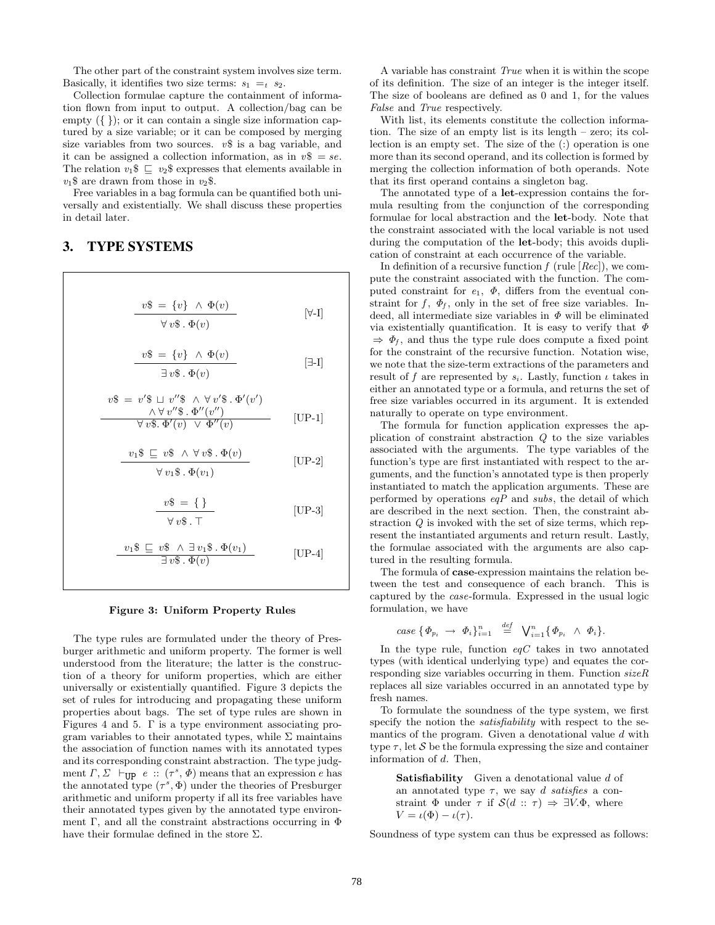The other part of the constraint system involves size term. Basically, it identifies two size terms:  $s_1 = t s_2$ .

Collection formulae capture the containment of information flown from input to output. A collection/bag can be empty  $({})$ ; or it can contain a single size information captured by a size variable; or it can be composed by merging size variables from two sources.  $v\$ \$ is a bag variable, and it can be assigned a collection information, as in  $v\$  = se. The relation  $v_1\$   $\subseteq$   $v_2\$  expresses that elements available in  $v_1$ \$ are drawn from those in  $v_2$ \$.

Free variables in a bag formula can be quantified both universally and existentially. We shall discuss these properties in detail later.

# **3. TYPE SYSTEMS**

$$
v\$\ = \{v\} \ \wedge \ \Phi(v)
$$
  

$$
\forall v\$\ . \ \Phi(v)
$$
 [ $\forall$ -I]

$$
\frac{v\$\ = \{v\} \ \wedge \ \Phi(v)}{\exists \ v\$\ .} \qquad \qquad [\exists\text{-I}]
$$

$$
v\$\ = v'\$\ \sqcup\ v''\$\ \wedge \forall\ v'\$\ .\ \Phi'(v')\n\qquad \qquad \wedge \forall\ v''\$\ .\ \Phi''(v'')\n\qquad \qquad [UP-1]
$$

$$
\frac{v_1\$\subseteq v\$\wedge \forall v\$\cdot \Phi(v)}{\forall v_1\$\cdot \Phi(v_1)}
$$
 [UP-2]

$$
\frac{v\$ = \{\}}{\forall v\$ \cdot T}
$$
 [UP-3]

$$
\frac{v_1\$\subseteq v\$ \land \exists v_1\$\,.\,\Phi(v_1)}{\exists v\$ \,.\,\Phi(v)} \qquad \qquad [\text{UP-4}]
$$

#### **Figure 3: Uniform Property Rules**

The type rules are formulated under the theory of Presburger arithmetic and uniform property. The former is well understood from the literature; the latter is the construction of a theory for uniform properties, which are either universally or existentially quantified. Figure 3 depicts the set of rules for introducing and propagating these uniform properties about bags. The set of type rules are shown in Figures 4 and 5. Γ is a type environment associating program variables to their annotated types, while  $\Sigma$  maintains the association of function names with its annotated types and its corresponding constraint abstraction. The type judgment  $\Gamma, \Sigma \vdash_{\text{HP}} e :: (\tau^s, \Phi)$  means that an expression e has the annotated type  $(\tau^s, \Phi)$  under the theories of Presburger arithmetic and uniform property if all its free variables have their annotated types given by the annotated type environment Γ, and all the constraint abstractions occurring in  $\Phi$ have their formulae defined in the store  $\Sigma$ .

A variable has constraint True when it is within the scope of its definition. The size of an integer is the integer itself. The size of booleans are defined as 0 and 1, for the values False and True respectively.

With list, its elements constitute the collection information. The size of an empty list is its length – zero; its collection is an empty set. The size of the (:) operation is one more than its second operand, and its collection is formed by merging the collection information of both operands. Note that its first operand contains a singleton bag.

The annotated type of a **let**-expression contains the formula resulting from the conjunction of the corresponding formulae for local abstraction and the **let**-body. Note that the constraint associated with the local variable is not used during the computation of the **let**-body; this avoids duplication of constraint at each occurrence of the variable.

In definition of a recursive function  $f$  (rule  $[Rec]$ ), we compute the constraint associated with the function. The computed constraint for  $e_1$ ,  $\Phi$ , differs from the eventual constraint for  $f$ ,  $\Phi_f$ , only in the set of free size variables. Indeed, all intermediate size variables in  $\Phi$  will be eliminated via existentially quantification. It is easy to verify that  $\Phi$  $\Rightarrow$   $\Phi_f$ , and thus the type rule does compute a fixed point for the constraint of the recursive function. Notation wise, we note that the size-term extractions of the parameters and result of f are represented by  $s_i$ . Lastly, function  $\iota$  takes in either an annotated type or a formula, and returns the set of free size variables occurred in its argument. It is extended naturally to operate on type environment.

The formula for function application expresses the application of constraint abstraction Q to the size variables associated with the arguments. The type variables of the function's type are first instantiated with respect to the arguments, and the function's annotated type is then properly instantiated to match the application arguments. These are performed by operations  $eqP$  and subs, the detail of which are described in the next section. Then, the constraint abstraction  $Q$  is invoked with the set of size terms, which represent the instantiated arguments and return result. Lastly, the formulae associated with the arguments are also captured in the resulting formula.

The formula of **case**-expression maintains the relation between the test and consequence of each branch. This is captured by the case-formula. Expressed in the usual logic formulation, we have

$$
case \ \{\varPhi_{p_i} \ \rightarrow \ \varPhi_i\}_{i=1}^n \ \stackrel{def}{=} \ \bigvee_{i=1}^n \{\varPhi_{p_i} \ \wedge \ \varPhi_i\}.
$$

In the type rule, function  $eqC$  takes in two annotated types (with identical underlying type) and equates the corresponding size variables occurring in them. Function  $sizeR$ replaces all size variables occurred in an annotated type by fresh names.

To formulate the soundness of the type system, we first specify the notion the satisfiability with respect to the semantics of the program. Given a denotational value  $d$  with type  $\tau$ , let S be the formula expressing the size and container information of d. Then,

**Satisfiability** Given a denotational value d of an annotated type  $\tau$ , we say d satisfies a constraint  $\Phi$  under  $\tau$  if  $\mathcal{S}(d : \tau) \Rightarrow \exists V.\Phi$ , where  $V = \iota(\Phi) - \iota(\tau).$ 

Soundness of type system can thus be expressed as follows: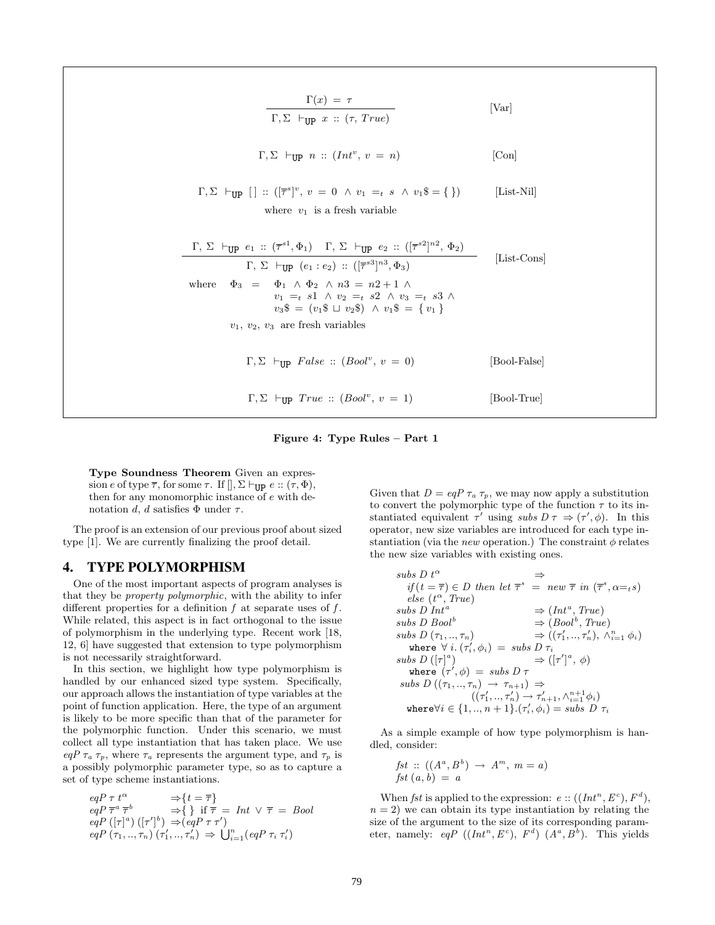$$
\Gamma(x) = \tau
$$
 [Var]  
\n
$$
\Gamma, \Sigma \vdash_{\text{UP}} x :: (\tau, True)
$$
 [Var]  
\n
$$
\Gamma, \Sigma \vdash_{\text{UP}} [ ] :: ([\overline{\tau}^s]^v, v = 0 \land v_1 =_t s \land v_1 \$ = \{ \} )
$$
 [Con]  
\n
$$
\Gamma, \Sigma \vdash_{\text{UP}} [ ] :: ([\overline{\tau}^s]^v, v = 0 \land v_1 =_t s \land v_1 \$ = \{ \} )
$$
 [List-Nil]  
\nwhere  $v_1$  is a fresh variable  
\n
$$
\frac{\Gamma, \Sigma \vdash_{\text{UP}} e_1 :: (\overline{\tau}^{s1}, \Phi_1) \Gamma, \Sigma \vdash_{\text{UP}} e_2 :: ([\overline{\tau}^{s2}]^{n2}, \Phi_2) \Gamma, \Sigma \vdash_{\text{UP}} [e_1 : e_2) :: ([\overline{\tau}^{s3}]^{n3}, \Phi_3) \Gamma, \Phi_4]
$$
 [List-Cons]  
\nwhere  $\Phi_3 = \Phi_1 \land \Phi_2 \land n3 = n2 + 1 \land \nu_1 =_t s1 \land \nu_2 =_t s2 \land \nu_3 =_t s3 \land \nu_3 \$ = (v_1 \$ \sqcup v_2 \$) \land v_1 \$ = \{ v_1 \}$   
\n $v_1, v_2, v_3$  are fresh variables  
\n
$$
\Gamma, \Sigma \vdash_{\text{UP}} False :: (Bool^v, v = 0)
$$
 [Bool-False]  
\n
$$
\Gamma, \Sigma \vdash_{\text{UP}} True :: (Bool^v, v = 1)
$$
 [Bool-True]

#### **Figure 4: Type Rules – Part 1**

**Type Soundness Theorem** Given an expression e of type  $\overline{\tau}$ , for some  $\tau$ . If  $[., \Sigma \vdash_{\text{UP}} e :: (\tau, \Phi),$ then for any monomorphic instance of e with denotation d, d satisfies  $\Phi$  under  $\tau$ .

The proof is an extension of our previous proof about sized type [1]. We are currently finalizing the proof detail.

# **4. TYPE POLYMORPHISM**

One of the most important aspects of program analyses is that they be property polymorphic, with the ability to infer different properties for a definition  $f$  at separate uses of  $f$ . While related, this aspect is in fact orthogonal to the issue of polymorphism in the underlying type. Recent work [18, 12, 6] have suggested that extension to type polymorphism is not necessarily straightforward.

In this section, we highlight how type polymorphism is handled by our enhanced sized type system. Specifically, our approach allows the instantiation of type variables at the point of function application. Here, the type of an argument is likely to be more specific than that of the parameter for the polymorphic function. Under this scenario, we must collect all type instantiation that has taken place. We use  $eqP \tau_a \tau_p$ , where  $\tau_a$  represents the argument type, and  $\tau_p$  is a possibly polymorphic parameter type, so as to capture a set of type scheme instantiations.

$$
eqP \ \tau \ t^{\alpha} \Rightarrow \{t = \overline{\tau}\}
$$
  
\n
$$
eqP \ \overline{\tau}^a \ \overline{\tau}^b \Rightarrow \{\} \ \text{if } \overline{\tau} = \text{Int } \vee \ \overline{\tau} = \text{Bool}
$$
  
\n
$$
eqP \ ([\tau]^a) \ ([\tau']^b) \Rightarrow (eqP \ \tau \tau')
$$
  
\n
$$
eqP \ (\tau_1, ..., \tau_n) \ (\tau'_1, ..., \tau'_n) \Rightarrow \bigcup_{i=1}^n (eqP \ \tau_i \ \tau'_i)
$$

Given that  $D = eqP \tau_a \tau_p$ , we may now apply a substitution to convert the polymorphic type of the function  $\tau$  to its instantiated equivalent  $\tau'$  using subs  $D \tau \Rightarrow (\tau', \phi)$ . In this operator, new size variables are introduced for each type instantiation (via the new operation.) The constraint  $\phi$  relates the new size variables with existing ones.

$$
subs D t^{\alpha} \Rightarrow
$$
  
\n
$$
if (t = \overline{\tau}) \in D \text{ then let } \overline{\tau}^{s} = new \overline{\tau} \text{ in } (\overline{\tau}^{s}, \alpha =_{t} s)
$$
  
\n
$$
else (t^{\alpha}, True)
$$
  
\n
$$
subs D Int^a \Rightarrow (Int^a, True)
$$
  
\n
$$
subs D Bool^{b} \Rightarrow (Bool^{b}, True)
$$
  
\n
$$
subs D (\tau_1, ..., \tau_n) \Rightarrow ((\tau'_1, ..., \tau'_n), \wedge_{i=1}^{n} \phi_i)
$$
  
\n
$$
where \forall i. (\tau'_i, \phi_i) = subs D \tau_i
$$
  
\n
$$
subs D ((\tau_1^{a}) \Rightarrow (\tau'_1^{a}, \phi)
$$
  
\n
$$
subs D ((\tau_1, ..., \tau_n) \rightarrow \tau_{n+1}) \Rightarrow
$$
  
\n
$$
((\tau'_1, ..., \tau'_n) \rightarrow \tau'_{n+1}, \wedge_{i=1}^{n+1} \phi_i)
$$
  
\n
$$
where \forall i \in \{1, ..., n+1\} . (\tau'_i, \phi_i) = subs D \tau_i
$$

As a simple example of how type polymorphism is handled, consider:

$$
fst :: ((Aa, Bb) \rightarrow Am, m = a)
$$
  

$$
fst (a, b) = a
$$

When fst is applied to the expression:  $e$  ::  $((Int^n, E^c), F^d)$ ,  $n = 2$ ) we can obtain its type instantiation by relating the size of the argument to the size of its corresponding parameter, namely: eqP  $((Int^n, E^c), F^d)$   $(A^a, B^b)$ . This yields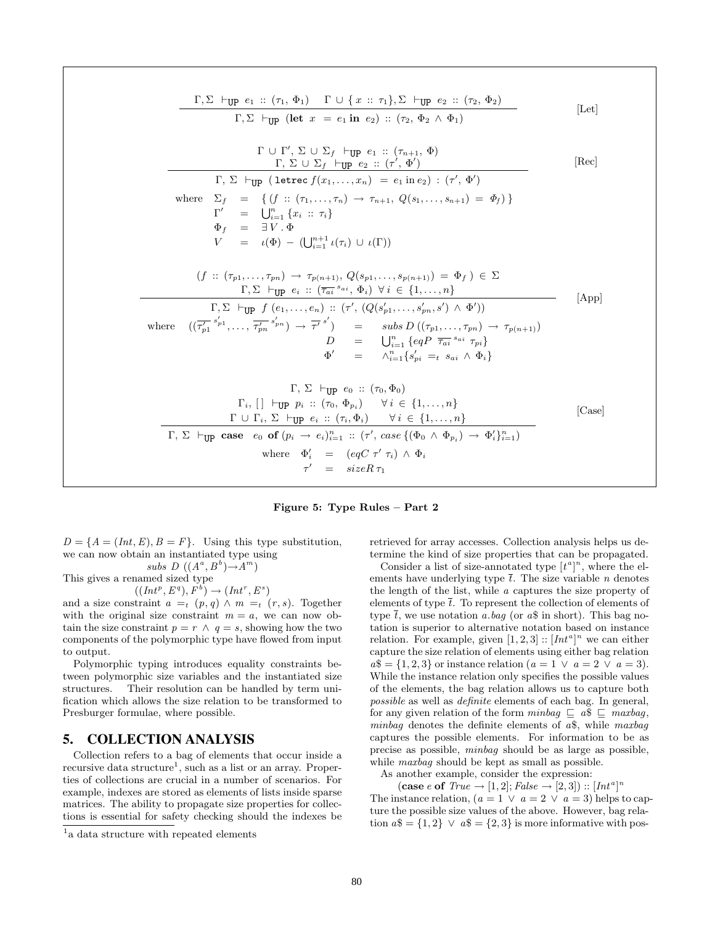$$
\frac{\Gamma, \Sigma \vdash_{\text{UP}} e_1 :: (\tau_1, \Phi_1) \Gamma \cup \{x :: \tau_1\}, \Sigma \vdash_{\text{UP}} e_2 :: (\tau_2, \Phi_2) \overline{\Gamma, \Sigma \vdash_{\text{UP}} (\text{let } x = e_1 \text{ in } e_2) :: (\tau_2, \Phi_2 \land \Phi_1)} \qquad [\text{Let}]
$$
\n
$$
\frac{\Gamma \cup \Gamma', \Sigma \cup \Sigma_f \vdash_{\text{UP}} e_1 :: (\tau_1, \dots, \Phi) \Gamma, \Sigma \vdash_{\text{UP}} \cup \Sigma_f \vdash_{\text{UP}} e_2 :: (\tau', \Phi')}{\Gamma, \Sigma \vdash_{\text{UP}} (\text{letree } f(x_1, \dots, x_n) = e_1 \text{ in } e_2) : (\tau', \Phi')}
$$
\nwhere\n
$$
\Sigma_f = \{ (f :: (\tau_1, \dots, \tau_n) \rightarrow \tau_{n+1}, Q(s_1, \dots, s_{n+1}) = \Phi_f) \}
$$
\n
$$
\Psi_f = \exists V, \Phi \qquad [\Psi = \exists V, \Phi \qquad (\Psi = \exists V, \Phi) \neg \Psi = \exists V, \Phi \qquad (\Psi = \exists V, \Phi) \neg \Psi = \exists V, \Phi \qquad (\Psi = \exists V, \Phi \qquad (\Psi = \exists V, \Phi) \neg \Psi = \exists V, \Phi \qquad (\Psi = \exists V, \Phi) \neg \Psi = \exists V, \Phi \qquad (\Psi = \exists V, \Phi \qquad (\exists V, \Phi) \forall i \in \{1, \dots, n\}
$$
\n
$$
\frac{\Gamma, \Sigma \vdash_{\text{UP}} f(e_1, \dots, e_n) :: (\tau', (Q(s_1, \dots, s_{p(n+1)}) = \Phi_f) \in \Sigma}{\Gamma, \Sigma \vdash_{\text{UP}} f(e_1, \dots, e_n) :: (\tau', (Q(s_{p+1}, \dots, s_{p(n)}) \land \Phi'))}
$$
\nwhere\n
$$
\frac{(\overline{\tau_p} \uparrow_{\phi_1}, \dots, \overline{\tau_p} \uparrow_{\phi_n}) \rightarrow \overline{\tau'} \uparrow}{\phi'} = \text{sub } \text{sub } D \{(\tau_{p+1}, \dots, \tau_{p,n}) \rightarrow \tau_{p(n+1)} \} \qquad \Phi' = \text{sub } \text{sub } \text{sub } D \{(\tau_{p+1}, \dots
$$

**Figure 5: Type Rules – Part 2**

 $D = \{A = (Int, E), B = F\}.$  Using this type substitution, we can now obtain an instantiated type using  $subs$   $D ((A^a, B^b) \rightarrow A^m)$ 

This gives a renamed sized type

 $((Int^p, E^q), F^b) \rightarrow (Int^r, E^s)$ and a size constraint  $a =_t (p, q) \wedge m =_t (r, s)$ . Together with the original size constraint  $m = a$ , we can now obtain the size constraint  $p = r \land q = s$ , showing how the two components of the polymorphic type have flowed from input to output.

Polymorphic typing introduces equality constraints between polymorphic size variables and the instantiated size structures. Their resolution can be handled by term unification which allows the size relation to be transformed to Presburger formulae, where possible.

# **5. COLLECTION ANALYSIS**

Collection refers to a bag of elements that occur inside a recursive data structure<sup>1</sup>, such as a list or an array. Properties of collections are crucial in a number of scenarios. For example, indexes are stored as elements of lists inside sparse matrices. The ability to propagate size properties for collections is essential for safety checking should the indexes be retrieved for array accesses. Collection analysis helps us determine the kind of size properties that can be propagated.

Consider a list of size-annotated type  $[t^a]^n$ , where the elements have underlying type  $\overline{t}$ . The size variable *n* denotes the length of the list, while a captures the size property of elements of type  $\overline{t}$ . To represent the collection of elements of type  $\overline{t}$ , we use notation a.bag (or a\\$ in short). This bag notation is superior to alternative notation based on instance relation. For example, given  $[1, 2, 3]$ :  $[Int^a]^n$  we can either capture the size relation of elements using either bag relation  $a\$  = \{1, 2, 3\} or instance relation  $(a = 1 \lor a = 2 \lor a = 3)$ . While the instance relation only specifies the possible values of the elements, the bag relation allows us to capture both possible as well as definite elements of each bag. In general, for any given relation of the form  $minbag \subseteq a\$   $\subseteq maxbag$ , minbag denotes the definite elements of  $a\$ <sup>s</sup>, while maxbag captures the possible elements. For information to be as precise as possible, minbag should be as large as possible, while *maxbaq* should be kept as small as possible.

As another example, consider the expression:

 $(\textbf{case } e \textbf{ of } True \rightarrow [1, 2]; False \rightarrow [2, 3]): [Int^a]^n$ The instance relation,  $(a = 1 \lor a = 2 \lor a = 3)$  helps to capture the possible size values of the above. However, bag relation  $a\$  = \{1, 2\} \vee a\ =  $\{2, 3\}$  is more informative with pos-

<sup>&</sup>lt;sup>1</sup>a data structure with repeated elements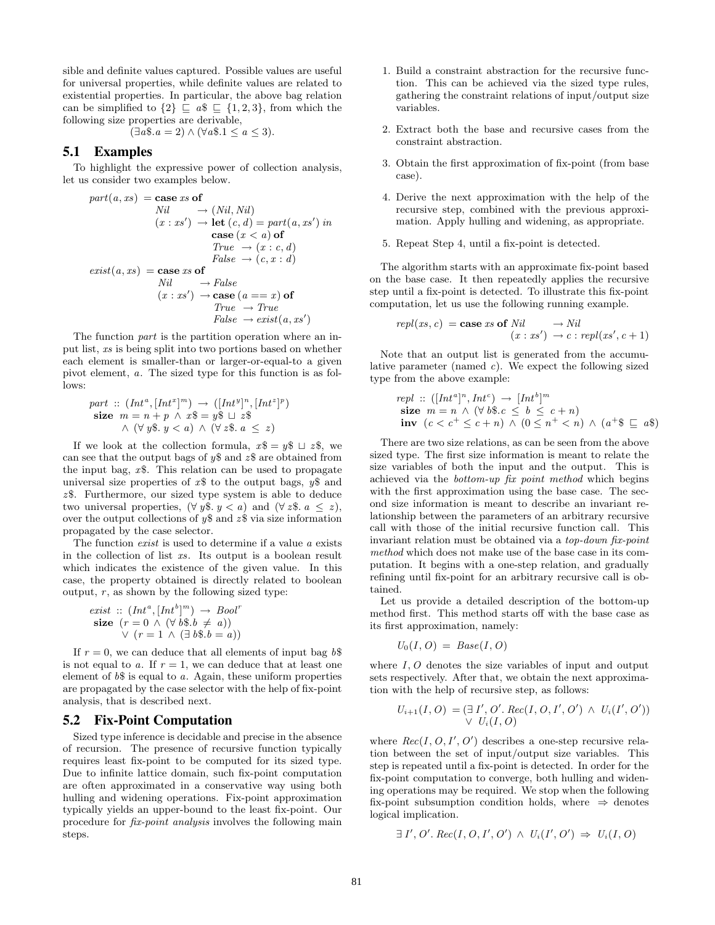sible and definite values captured. Possible values are useful for universal properties, while definite values are related to existential properties. In particular, the above bag relation can be simplified to  $\{2\} \subseteq a\$   $\subseteq$   $\{1, 2, 3\}$ , from which the following size properties are derivable,

$$
(\exists a \$. a = 2) \land (\forall a \$. 1 \le a \le 3).
$$

# **5.1 Examples**

To highlight the expressive power of collection analysis, let us consider two examples below.

$$
part(a, xs) = \text{case } xs \text{ of}
$$
  
\n
$$
Nil \rightarrow (Nil, Nil)
$$
  
\n
$$
(x : xs') \rightarrow \text{let } (c, d) = part(a, xs') \text{ in}
$$
  
\n
$$
\text{case } (x < a) \text{ of}
$$
  
\n
$$
True \rightarrow (x : c, d)
$$
  
\n
$$
False \rightarrow (c, x : d)
$$
  
\n
$$
exit(a, xs) = \text{case } xs \text{ of}
$$
  
\n
$$
Nil \rightarrow False
$$
  
\n
$$
(x : xs') \rightarrow \text{case } (a == x) \text{ of}
$$
  
\n
$$
True \rightarrow True
$$
  
\n
$$
False \rightarrow exist(a, xs')
$$

The function part is the partition operation where an input list, xs is being split into two portions based on whether each element is smaller-than or larger-or-equal-to a given pivot element, a. The sized type for this function is as follows:

part :: 
$$
(Int^a, [Int^x]^m) \rightarrow ([Int^y]^n, [Int^z]^p)
$$
  
\nsize  $m = n + p \wedge x\$\ = y\$\ \sqcup\ z\$\$   
\n $\wedge (\forall y\$\ y < a) \wedge (\forall z\$\ x \leq z)$ 

If we look at the collection formula,  $x\$  = y\  $\cup z\$ , we can see that the output bags of  $y\$  and  $z\$  are obtained from the input bag,  $x$ \$. This relation can be used to propagate universal size properties of  $x\$  to the output bags,  $y\$  and  $z$ \$. Furthermore, our sized type system is able to deduce two universal properties,  $(\forall y \$   $, y < a)$  and  $(\forall z \$   $, a \leq z)$ , over the output collections of  $y\$  and  $z\$  via size information propagated by the case selector.

The function *exist* is used to determine if a value a exists in the collection of list xs. Its output is a boolean result which indicates the existence of the given value. In this case, the property obtained is directly related to boolean output,  $r$ , as shown by the following sized type:

exist :: 
$$
(Int^a, [Int^b]^m) \rightarrow Bool^r
$$
  
\n**size**  $(r = 0 \land (\forall b\$, b \neq a))$   
\n $\lor (r = 1 \land (\exists b\$, b = a))$ 

If  $r = 0$ , we can deduce that all elements of input bag  $b\$ is not equal to a. If  $r = 1$ , we can deduce that at least one element of  $b$ \$ is equal to  $a$ . Again, these uniform properties are propagated by the case selector with the help of fix-point analysis, that is described next.

## **5.2 Fix-Point Computation**

Sized type inference is decidable and precise in the absence of recursion. The presence of recursive function typically requires least fix-point to be computed for its sized type. Due to infinite lattice domain, such fix-point computation are often approximated in a conservative way using both hulling and widening operations. Fix-point approximation typically yields an upper-bound to the least fix-point. Our procedure for fix-point analysis involves the following main steps.

- 1. Build a constraint abstraction for the recursive function. This can be achieved via the sized type rules, gathering the constraint relations of input/output size variables.
- 2. Extract both the base and recursive cases from the constraint abstraction.
- 3. Obtain the first approximation of fix-point (from base case).
- 4. Derive the next approximation with the help of the recursive step, combined with the previous approximation. Apply hulling and widening, as appropriate.
- 5. Repeat Step 4, until a fix-point is detected.

The algorithm starts with an approximate fix-point based on the base case. It then repeatedly applies the recursive step until a fix-point is detected. To illustrate this fix-point computation, let us use the following running example.

$$
repl(xs, c) = \text{case} \; xs \; \text{of} \; Nil \quad \rightarrow Nil
$$

$$
(x : xs') \rightarrow c : repl(xs', c + 1)
$$

Note that an output list is generated from the accumulative parameter (named  $c$ ). We expect the following sized type from the above example:

$$
repl :: ([Inta]n, Intc) \rightarrow [Intb]m
$$
  
\nsize  $m = n \land (\forall b\$\text{.}c \le b \le c + n)$   
\ninv  $(c < c+ \le c + n) \land (0 \le n+ < n) \land (a+ \le a\$)$ 

There are two size relations, as can be seen from the above sized type. The first size information is meant to relate the size variables of both the input and the output. This is achieved via the bottom-up fix point method which begins with the first approximation using the base case. The second size information is meant to describe an invariant relationship between the parameters of an arbitrary recursive call with those of the initial recursive function call. This invariant relation must be obtained via a top-down fix-point method which does not make use of the base case in its computation. It begins with a one-step relation, and gradually refining until fix-point for an arbitrary recursive call is obtained.

Let us provide a detailed description of the bottom-up method first. This method starts off with the base case as its first approximation, namely:

$$
U_0(I, O) = \text{Base}(I, O)
$$

where  $I, O$  denotes the size variables of input and output sets respectively. After that, we obtain the next approximation with the help of recursive step, as follows:

$$
U_{i+1}(I, O) = (\exists I', O'. Rec(I, O, I', O') \wedge U_i(I', O')) \vee U_i(I, O)
$$

where  $Rec(I, O, I', O')$  describes a one-step recursive relation between the set of input/output size variables. This step is repeated until a fix-point is detected. In order for the fix-point computation to converge, both hulling and widening operations may be required. We stop when the following fix-point subsumption condition holds, where  $\Rightarrow$  denotes logical implication.

$$
\exists I', O'. Rec(I, O, I', O') \land U_i(I', O') \Rightarrow U_i(I, O)
$$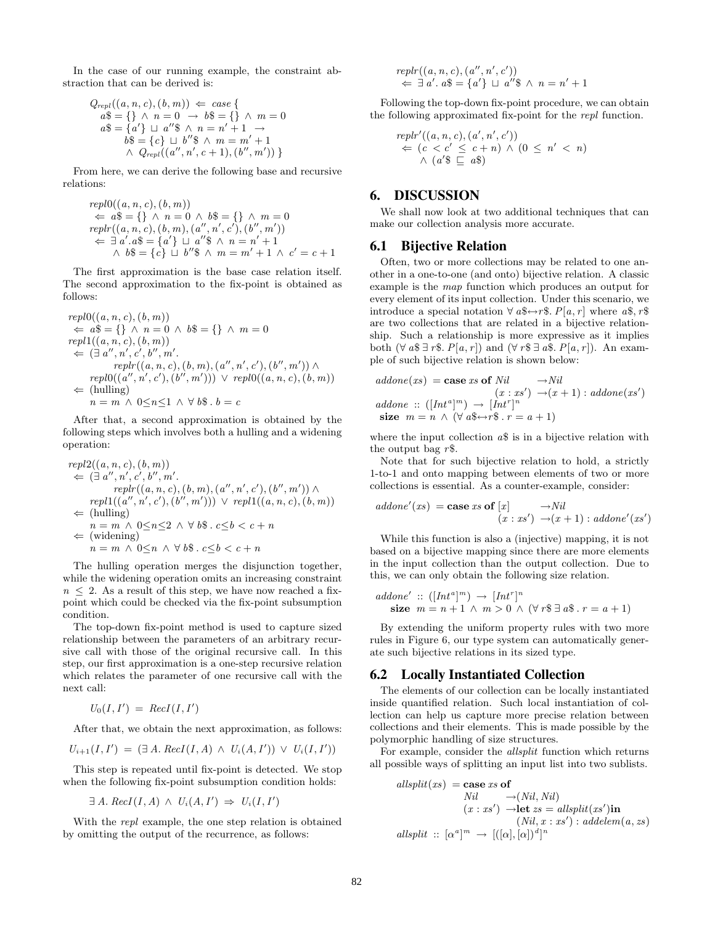In the case of our running example, the constraint abstraction that can be derived is:

$$
Q_{repl}((a, n, c), (b, m)) \Leftarrow case \{ a\$\ = \{\} \land n = 0 \rightarrow b\$\ = \{\} \land m = 0a\$\ = \{a'\} \sqcup a''\$\ \land\ n = n' + 1 \rightarrowb\$\ = \{c\} \sqcup b''\$\ \land\ m = m' + 1\land Q_{repl}((a'', n', c + 1), (b'', m'))\}
$$

From here, we can derive the following base and recursive relations:

$$
repl0((a, n, c), (b, m))
$$
  
\n
$$
\Leftarrow a\$\ = \{\} \land n = 0 \land b\$\ = \{\} \land m = 0
$$
  
\n
$$
replr((a, n, c), (b, m), (a'', n', c'), (b'', m'))
$$
  
\n
$$
\Leftarrow \exists a'.a\$\ = \{a'\}\sqcup a''\$\ \land\ n = n' + 1
$$
  
\n
$$
\land b\$\ = \{c\}\sqcup b''\$\ \land\ m = m' + 1 \land c' = c + 1
$$

The first approximation is the base case relation itself. The second approximation to the fix-point is obtained as follows:

$$
repl0((a, n, c), (b, m))
$$
  
\n
$$
\Leftarrow a\$\ = \{\} \land n = 0 \land b\$\ = \{\} \land m = 0
$$
  
\n
$$
repl1((a, n, c), (b, m))
$$
  
\n
$$
\Leftarrow (\exists a'', n', c', b'', m',\n
$$
replr((a, n, c), (b, m), (a'', n', c'), (b'', m')) \land
$$
  
\n
$$
repl0((a'', n', c'), (b'', m'))) \lor repl0((a, n, c), (b, m))
$$
  
\n
$$
\Leftarrow
$$
(hulling)  
\n
$$
n = m \land 0 \le n \le 1 \land \forall b\$\ .\ b = c
$$
$$

After that, a second approximation is obtained by the following steps which involves both a hulling and a widening operation:

$$
repl2((a, n, c), (b, m))
$$
  
\n
$$
\Leftarrow (\exists a'', n', c', b'', m',\nreplr((a, n, c), (b, m), (a'', n', c'), (b'', m')) \land\nrepl1((a'', n', c'), (b'', m'))) \lor repl1((a, n, c), (b, m))\n
$$
\Leftarrow \text{(hulling)}\nn = m \land 0 \le n \le 2 \land \forall b \$.. c \le b < c + n
$$
  
\n
$$
\Leftarrow \text{(widening)}\nn = m \land 0 \le n \land \forall b \$.. c \le b < c + n
$$
$$

The hulling operation merges the disjunction together, while the widening operation omits an increasing constraint  $n \leq 2$ . As a result of this step, we have now reached a fixpoint which could be checked via the fix-point subsumption condition.

The top-down fix-point method is used to capture sized relationship between the parameters of an arbitrary recursive call with those of the original recursive call. In this step, our first approximation is a one-step recursive relation which relates the parameter of one recursive call with the next call:

$$
U_0(I,I') = RecI(I,I')
$$

After that, we obtain the next approximation, as follows:

$$
U_{i+1}(I, I') = (\exists A. \, RecI(I, A) \land U_i(A, I')) \lor U_i(I, I'))
$$

This step is repeated until fix-point is detected. We stop when the following fix-point subsumption condition holds:

$$
\exists A. \, RecI(I, A) \land U_i(A, I') \Rightarrow U_i(I, I')
$$

With the repl example, the one step relation is obtained by omitting the output of the recurrence, as follows:

$$
replr((a, n, c), (a'', n', c'))
$$
  

$$
\Leftarrow \exists a'. a\$\} = \{a'\} \sqcup a''\$\land n = n' + 1
$$

Following the top-down fix-point procedure, we can obtain the following approximated fix-point for the repl function.

$$
replr'((a, n, c), (a', n', c'))
$$
  

$$
\Leftarrow (c < c' \leq c + n) \land (0 \leq n' < n)
$$
  

$$
\land (a'\$ \sqsubseteq a\$)
$$

## **6. DISCUSSION**

We shall now look at two additional techniques that can make our collection analysis more accurate.

#### **6.1 Bijective Relation**

Often, two or more collections may be related to one another in a one-to-one (and onto) bijective relation. A classic example is the map function which produces an output for every element of its input collection. Under this scenario, we introduce a special notation  $\forall a \& \leftrightarrow r \$   $P[a, r]$  where  $a \$ ,  $r \$ are two collections that are related in a bijective relationship. Such a relationship is more expressive as it implies both  $(\forall a \$\exists r\$ S. P[a, r]) and  $(\forall r\$  \exists a \S. P[a, r]). An example of such bijective relation is shown below:

addone(xs) = case xs of Nil 
$$
\rightarrow Nil
$$
  
\n $(x : xs') \rightarrow (x + 1) : addone(xs')$   
\naddone :: ([Int<sup>a</sup>]<sup>m</sup>)  $\rightarrow$  [Int<sup>r</sup>]<sup>n</sup>  
\nsize m = n  $\land$  ( $\forall a\$\leftrightarrow r\$\,.\,r = a + 1$ )

where the input collection  $a\$  is in a bijective relation with the output bag  $r$ \$.

Note that for such bijective relation to hold, a strictly 1-to-1 and onto mapping between elements of two or more collections is essential. As a counter-example, consider:

$$
addone'(xs) = \text{case} \; xs \; \text{of} \; [x] \quad \longrightarrow Nil
$$

$$
(x: xs') \; \rightarrow (x+1) : addone'(xs')
$$

While this function is also a (injective) mapping, it is not based on a bijective mapping since there are more elements in the input collection than the output collection. Due to this, we can only obtain the following size relation.

addone' :: 
$$
([Int^a]^m) \rightarrow [Int^r]^n
$$
  
\n**size**  $m = n + 1 \land m > 0 \land (\forall r \text{ s} \exists a \text{ s} \cdot r = a + 1)$ 

By extending the uniform property rules with two more rules in Figure 6, our type system can automatically generate such bijective relations in its sized type.

## **6.2 Locally Instantiated Collection**

The elements of our collection can be locally instantiated inside quantified relation. Such local instantiation of collection can help us capture more precise relation between collections and their elements. This is made possible by the polymorphic handling of size structures.

For example, consider the allsplit function which returns all possible ways of splitting an input list into two sublists.

$$
allsplit(xs) = \text{case} \; xs \; \text{of}
$$
  
\n
$$
Nil \quad \rightarrow (Nil, Nil)
$$
  
\n
$$
(x : xs') \rightarrow \text{let } zs = allsplit(xs') \text{in}
$$
  
\n
$$
(Nil, x : xs') : addelem(a, zs)
$$
  
\n
$$
allsplit \; :: [\alpha^a]^m \rightarrow [([\alpha], [\alpha])^d]^n
$$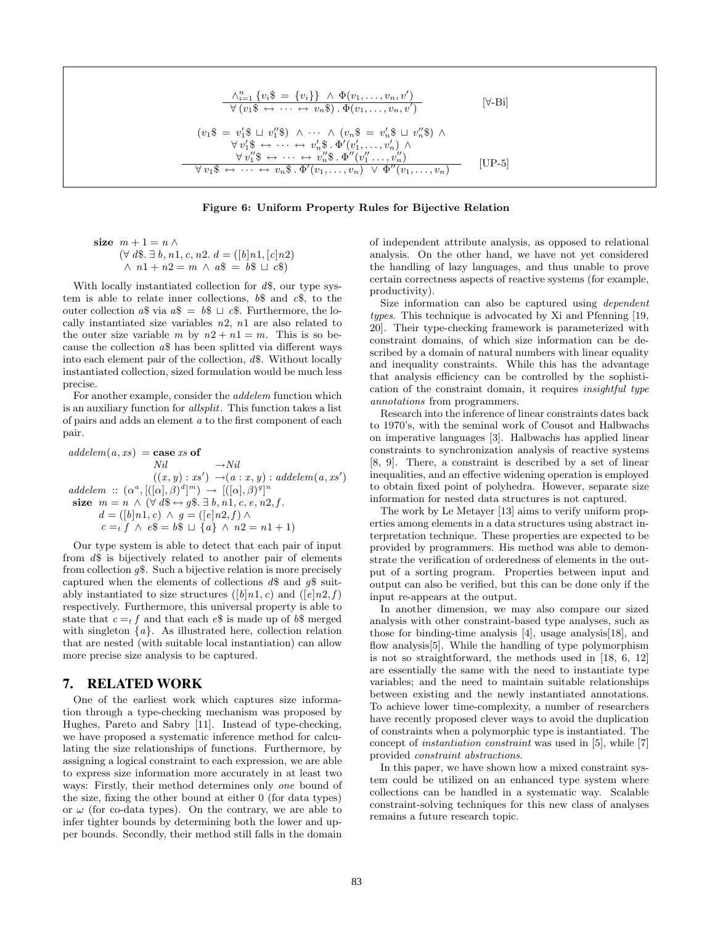$$
\frac{\wedge_{i=1}^{n} \{v_{i}\$ = \{v_{i}\}\} \wedge \Phi(v_{1}, \ldots, v_{n}, v')}{\forall (v_{1}\$ \leftrightarrow \cdots \leftrightarrow v_{n}\$) \cdot \Phi(v_{1}, \ldots, v_{n}, v')}
$$
 [ \forall-Bi]  

$$
(v_{1}\$ = v'_{1}\$ \sqcup v''_{1}\$) \wedge \cdots \wedge (v_{n}\$ = v'_{n}\$ \sqcup v''_{n}\$) \wedge \forall v'_{1}\$ \leftrightarrow \cdots \leftrightarrow v'_{n}\$ \cdot \Phi'(v'_{1}, \ldots, v'_{n}) \wedge \forall v''_{1}\$ \leftrightarrow \cdots \leftrightarrow v''_{n}\$ \cdot \Phi'(v''_{1} \ldots, v''_{n})\forall v_{1}\$ \leftrightarrow \cdots \leftrightarrow v_{n}\$ \cdot \Phi'(v_{1}, \ldots, v_{n}) \vee \Phi''(v_{1}, \ldots, v_{n})
$$
 [UP-5]

#### **Figure 6: Uniform Property Rules for Bijective Relation**

size 
$$
m+1 = n \wedge
$$
  
\n $(\forall d\$\cdot\ \exists b, n1, c, n2. d = ([b]n1, [c]n2)$   
\n $\wedge n1 + n2 = m \wedge a\$ = b\$ \sqcup c\$)$ 

With locally instantiated collection for  $d\$ , our type system is able to relate inner collections,  $b\$  and  $c\$ , to the outer collection  $a\$  via  $a\$  =  $b\$   $\sqcup$   $c\$ . Furthermore, the locally instantiated size variables  $n2$ ,  $n1$  are also related to the outer size variable m by  $n2 + n1 = m$ . This is so because the collection a\$ has been splitted via different ways into each element pair of the collection, d\$. Without locally instantiated collection, sized formulation would be much less precise.

For another example, consider the addelem function which is an auxiliary function for allsplit. This function takes a list of pairs and adds an element a to the first component of each pair.

 $addelem(a, xs) = \textbf{case} \, xs \textbf{of}$  $Nil \longrightarrow Nil$  $((x, y) : xs') \rightarrow (a : x, y) : addelem(a, xs')$  $addelem :: (\alpha^a, [([\alpha], \beta)^d]^m) \rightarrow [([\alpha], \beta)^g]^m$ size  $m = n \wedge (\forall d\$\leftrightarrow g\$\therefore \exists b, n1, c, e, n2, f$ .  $d = ([b]n1, c) \wedge g = ([e]n2, f) \wedge$  $c =_t f \wedge e\$  =  $b\$   $\sqcup \{a\} \wedge n2 = n1 + 1$ )

Our type system is able to detect that each pair of input from d\$ is bijectively related to another pair of elements from collection  $q\$ . Such a bijective relation is more precisely captured when the elements of collections  $d\$  and  $q\$  suitably instantiated to size structures ([b]n1, c) and ([e]n2, f) respectively. Furthermore, this universal property is able to state that  $c = t$  f and that each  $e$ \$ is made up of  $b$ \$ merged with singleton  $\{a\}$ . As illustrated here, collection relation that are nested (with suitable local instantiation) can allow more precise size analysis to be captured.

## **7. RELATED WORK**

One of the earliest work which captures size information through a type-checking mechanism was proposed by Hughes, Pareto and Sabry [11]. Instead of type-checking, we have proposed a systematic inference method for calculating the size relationships of functions. Furthermore, by assigning a logical constraint to each expression, we are able to express size information more accurately in at least two ways: Firstly, their method determines only one bound of the size, fixing the other bound at either 0 (for data types) or  $\omega$  (for co-data types). On the contrary, we are able to infer tighter bounds by determining both the lower and upper bounds. Secondly, their method still falls in the domain

of independent attribute analysis, as opposed to relational analysis. On the other hand, we have not yet considered the handling of lazy languages, and thus unable to prove certain correctness aspects of reactive systems (for example, productivity).

Size information can also be captured using dependent types. This technique is advocated by Xi and Pfenning [19, 20]. Their type-checking framework is parameterized with constraint domains, of which size information can be described by a domain of natural numbers with linear equality and inequality constraints. While this has the advantage that analysis efficiency can be controlled by the sophistication of the constraint domain, it requires insightful type annotations from programmers.

Research into the inference of linear constraints dates back to 1970's, with the seminal work of Cousot and Halbwachs on imperative languages [3]. Halbwachs has applied linear constraints to synchronization analysis of reactive systems [8, 9]. There, a constraint is described by a set of linear inequalities, and an effective widening operation is employed to obtain fixed point of polyhedra. However, separate size information for nested data structures is not captured.

The work by Le Metayer [13] aims to verify uniform properties among elements in a data structures using abstract interpretation technique. These properties are expected to be provided by programmers. His method was able to demonstrate the verification of orderedness of elements in the output of a sorting program. Properties between input and output can also be verified, but this can be done only if the input re-appears at the output.

In another dimension, we may also compare our sized analysis with other constraint-based type analyses, such as those for binding-time analysis [4], usage analysis[18], and flow analysis<sup>[5]</sup>. While the handling of type polymorphism is not so straightforward, the methods used in [18, 6, 12] are essentially the same with the need to instantiate type variables; and the need to maintain suitable relationships between existing and the newly instantiated annotations. To achieve lower time-complexity, a number of researchers have recently proposed clever ways to avoid the duplication of constraints when a polymorphic type is instantiated. The concept of instantiation constraint was used in [5], while [7] provided constraint abstractions.

In this paper, we have shown how a mixed constraint system could be utilized on an enhanced type system where collections can be handled in a systematic way. Scalable constraint-solving techniques for this new class of analyses remains a future research topic.